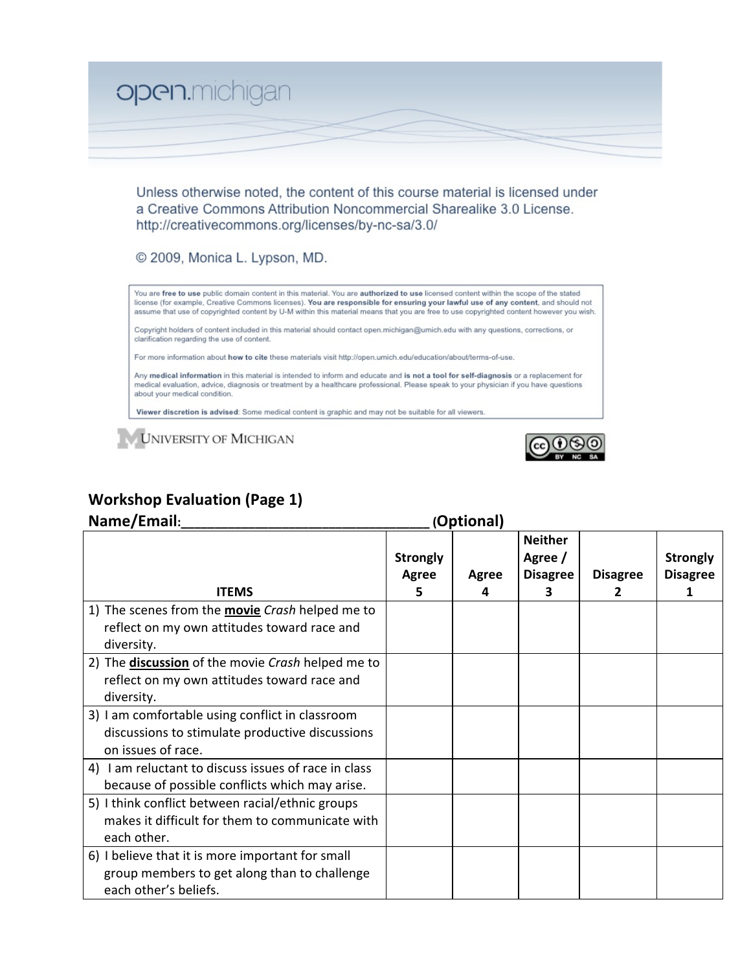

Unless otherwise noted, the content of this course material is licensed under a Creative Commons Attribution Noncommercial Sharealike 3.0 License. http://creativecommons.org/licenses/by-nc-sa/3.0/

© 2009, Monica L. Lypson, MD.

You are **free to use** public domain content in this material. You are **authorized to use** licensed content within the scope of the stated license (for example, Creative Commons licenses). You are responsible for ensuring your lawful use of any content, and should not assume that use of copyrighted content by U-M within this material means that you are free to use copyrighted content however you wish.

Copyright holders of content included in this material should contact open.michigan@umich.edu with any questions, corrections, or clarification regarding the use of content.

For more information about how to cite these materials visit http://open.umich.edu/education/about/terms-of-use.

Any medical information in this material is intended to inform and educate and is not a tool for self-diagnosis or a replacement for medical evaluation, advice, diagnosis or treatment by a healthcare professional. Please speak to your physician if you have questions about your medical condition.

Viewer discretion is advised: Some medical content is graphic and may not be suitable for all viewers.

**UNIVERSITY OF MICHIGAN** 



## **Workshop Evaluation (Page 1)**

| Name/Email:                                                                                                               | (Optional)                    |            |                                                   |                      |                                         |
|---------------------------------------------------------------------------------------------------------------------------|-------------------------------|------------|---------------------------------------------------|----------------------|-----------------------------------------|
| <b>ITEMS</b>                                                                                                              | <b>Strongly</b><br>Agree<br>5 | Agree<br>4 | <b>Neither</b><br>Agree /<br><b>Disagree</b><br>з | <b>Disagree</b><br>2 | <b>Strongly</b><br><b>Disagree</b><br>1 |
| 1) The scenes from the <b>movie</b> Crash helped me to<br>reflect on my own attitudes toward race and<br>diversity.       |                               |            |                                                   |                      |                                         |
| 2) The <b>discussion</b> of the movie Crash helped me to<br>reflect on my own attitudes toward race and<br>diversity.     |                               |            |                                                   |                      |                                         |
| 3) I am comfortable using conflict in classroom<br>discussions to stimulate productive discussions<br>on issues of race.  |                               |            |                                                   |                      |                                         |
| 4) I am reluctant to discuss issues of race in class<br>because of possible conflicts which may arise.                    |                               |            |                                                   |                      |                                         |
| 5) I think conflict between racial/ethnic groups<br>makes it difficult for them to communicate with<br>each other.        |                               |            |                                                   |                      |                                         |
| 6) I believe that it is more important for small<br>group members to get along than to challenge<br>each other's beliefs. |                               |            |                                                   |                      |                                         |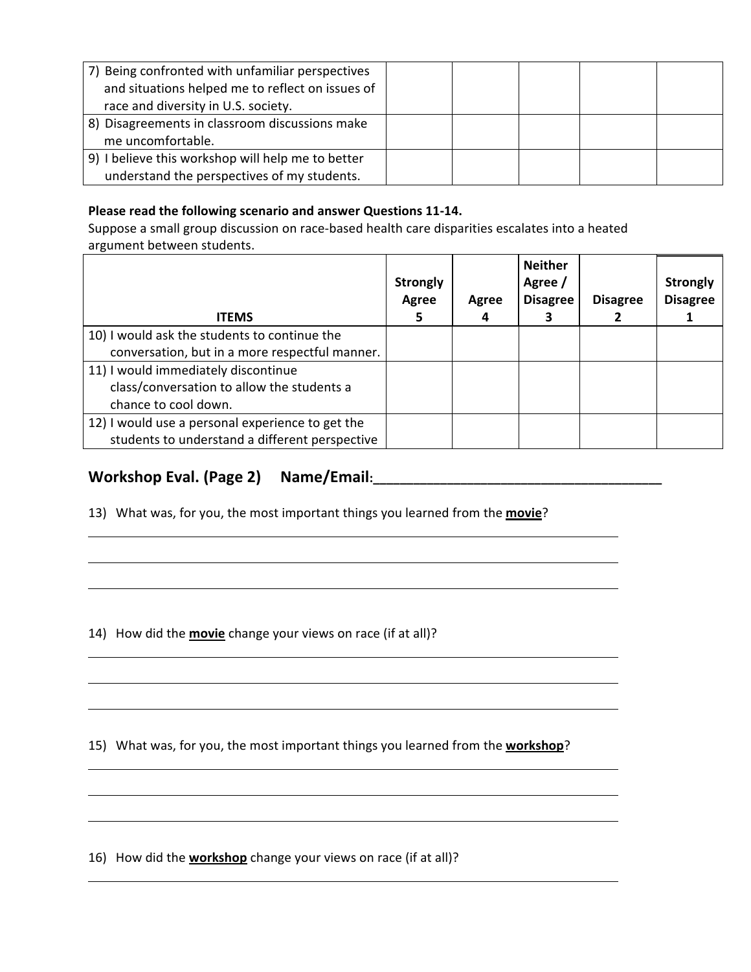| 7) Being confronted with unfamiliar perspectives  |  |  |  |
|---------------------------------------------------|--|--|--|
| and situations helped me to reflect on issues of  |  |  |  |
| race and diversity in U.S. society.               |  |  |  |
| 8) Disagreements in classroom discussions make    |  |  |  |
| me uncomfortable.                                 |  |  |  |
| 9) I believe this workshop will help me to better |  |  |  |
| understand the perspectives of my students.       |  |  |  |

## Please read the following scenario and answer Questions 11-14.

Suppose a small group discussion on race-based health care disparities escalates into a heated argument
between
students.

| <b>ITEMS</b>                                     | <b>Strongly</b><br>Agree | Agree<br>4 | <b>Neither</b><br>Agree /<br><b>Disagree</b> | <b>Disagree</b> | <b>Strongly</b><br><b>Disagree</b> |
|--------------------------------------------------|--------------------------|------------|----------------------------------------------|-----------------|------------------------------------|
| 10) I would ask the students to continue the     |                          |            |                                              |                 |                                    |
| conversation, but in a more respectful manner.   |                          |            |                                              |                 |                                    |
| 11) I would immediately discontinue              |                          |            |                                              |                 |                                    |
| class/conversation to allow the students a       |                          |            |                                              |                 |                                    |
| chance to cool down.                             |                          |            |                                              |                 |                                    |
| 12) I would use a personal experience to get the |                          |            |                                              |                 |                                    |
| students to understand a different perspective   |                          |            |                                              |                 |                                    |

## **Workshop
Eval.
(Page
2) Name/Email:\_\_\_\_\_\_\_\_\_\_\_\_\_\_\_\_\_\_\_\_\_\_\_\_\_\_\_\_\_\_\_\_\_\_\_\_\_\_\_\_\_\_\_**

13) What was, for you, the most important things you learned from the **movie**?

14) How did the **movie** change your views on race (if at all)?

15) What was, for you, the most important things you learned from the **workshop**?

16) How did the **workshop** change your views on race (if at all)?